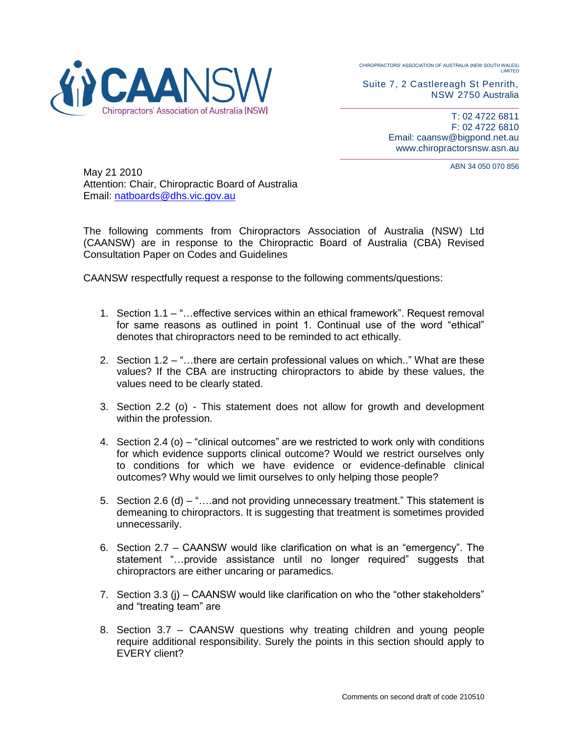CHIROPRACTORS' ASSOCIATION OF AUSTRALIA (NEW SOUTH WALES) LIMITED



T: 02 4722 6811 F: 02 4722 6810 Email: caansw@bigpond.net.au www.chiropractorsnsw.asn.au

ABN 34 050 070 856



May 21 2010 Attention: Chair, Chiropractic Board of Australia Email: [natboards@dhs.vic.gov.au](mailto:natboards@dhs.vic.gov.au)

The following comments from Chiropractors Association of Australia (NSW) Ltd (CAANSW) are in response to the Chiropractic Board of Australia (CBA) Revised Consultation Paper on Codes and Guidelines

CAANSW respectfully request a response to the following comments/questions:

- 1. Section 1.1 "…effective services within an ethical framework". Request removal for same reasons as outlined in point 1. Continual use of the word "ethical" denotes that chiropractors need to be reminded to act ethically.
- 2. Section 1.2 "…there are certain professional values on which.." What are these values? If the CBA are instructing chiropractors to abide by these values, the values need to be clearly stated.
- 3. Section 2.2 (o) This statement does not allow for growth and development within the profession.
- 4. Section 2.4 (o) "clinical outcomes" are we restricted to work only with conditions for which evidence supports clinical outcome? Would we restrict ourselves only to conditions for which we have evidence or evidence-definable clinical outcomes? Why would we limit ourselves to only helping those people?
- 5. Section 2.6 (d) "….and not providing unnecessary treatment." This statement is demeaning to chiropractors. It is suggesting that treatment is sometimes provided unnecessarily.
- 6. Section 2.7 CAANSW would like clarification on what is an "emergency". The statement "…provide assistance until no longer required" suggests that chiropractors are either uncaring or paramedics.
- 7. Section 3.3 (j) CAANSW would like clarification on who the "other stakeholders" and "treating team" are
- 8. Section 3.7 CAANSW questions why treating children and young people require additional responsibility. Surely the points in this section should apply to EVERY client?